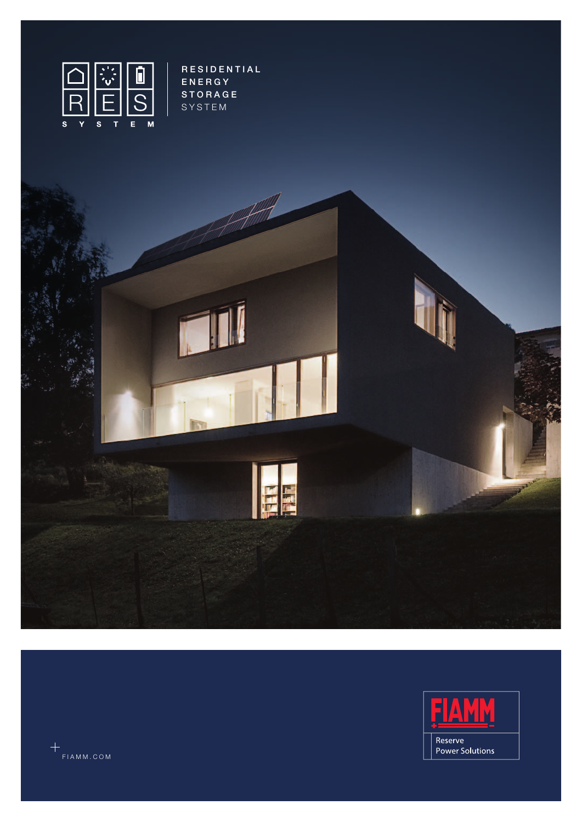

**RESIDENTIAL ENERGY STORAGE** SYSTEM



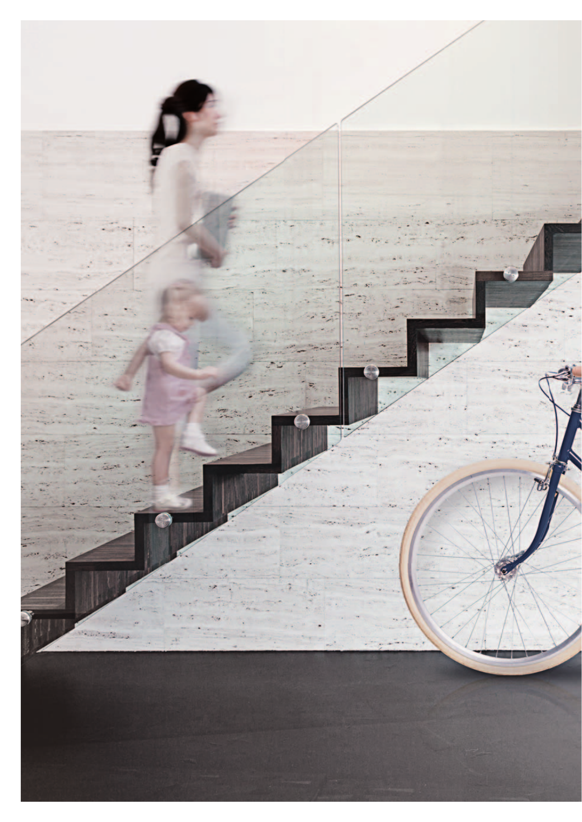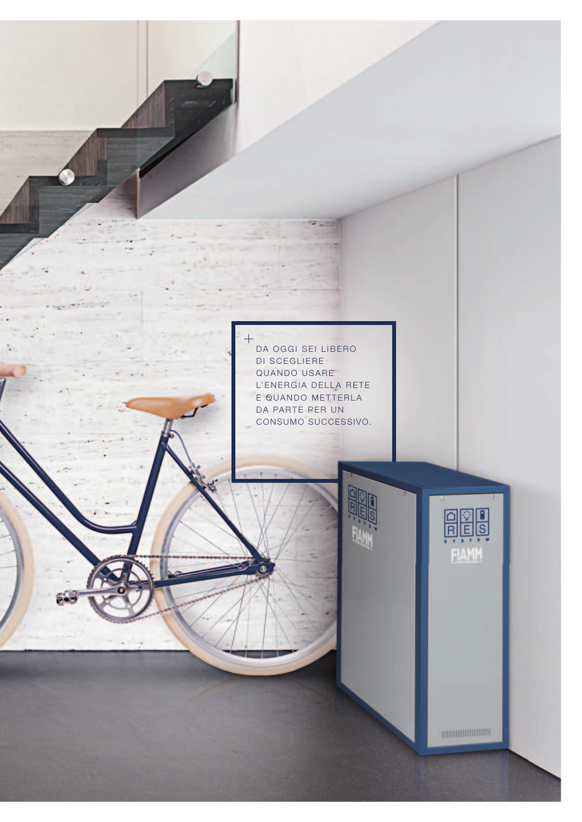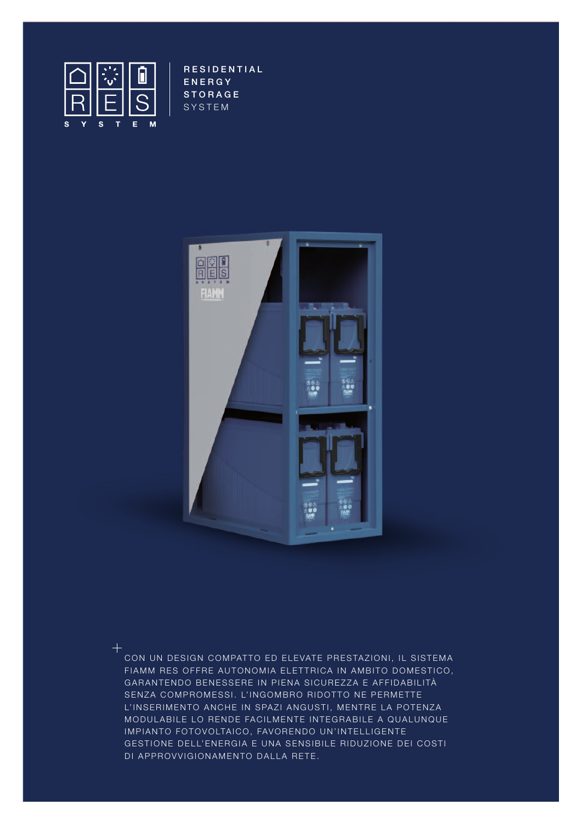

**RESIDENTIAL ENERGY STORAGE** SYSTEM



 $+$ 

CON UN DESIGN COMPATTO ED ELEVATE PRESTAZIONI, IL SISTEMA FIAMM RES OFFRE AUTONOMIA ELETTRICA IN AMBITO DOMESTICO, GARANTENDO BENESSERE IN PIENA SICUREZZA E AFFIDABILITÀ SENZA COMPROMESSI. L'INGOMBRO RIDOTTO NE PERMETTE L'INSERIMENTO ANCHE IN SPAZI ANGUSTI, MENTRE LA POTENZA MODULABILE LO RENDE FACILMENTE INTEGRABILE A QUALUNQUE IMPIANTO FOTOVOLTAICO, FAVORENDO UN'INTELLIGENTE GESTIONE DELL'ENERGIA E UNA SENSIBILE RIDUZIONE DEI COSTI DI APPROVVIGIONAMENTO DALLA RETE.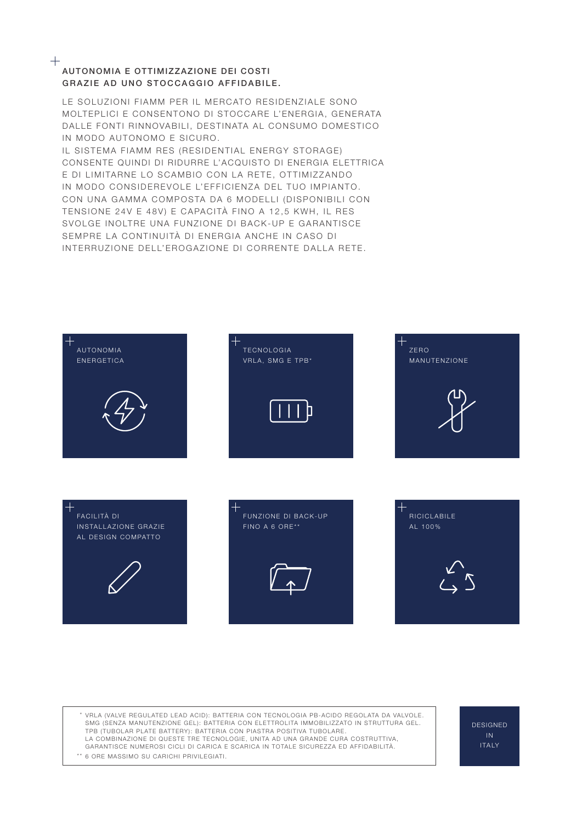## $+$ **AUTONOMIA E OTTIMIZZAZIONE DEI COSTI GRAZIE AD UNO STOCCAGGIO AFFIDABILE.**

LE SOLUZIONI FIAMM PER IL MERCATO RESIDENZIALE SONO MOLTEPLICI E CONSENTONO DI STOCCARE L'ENERGIA, GENERATA DALLE FONTI RINNOVABILI, DESTINATA AL CONSUMO DOMESTICO IN MODO AUTONOMO E SICURO.

IL SISTEMA FIAMM RES (RESIDENTIAL ENERGY STORAGE) CONSENTE QUINDI DI RIDURRE L'ACQUISTO DI ENERGIA ELETTRICA E DI LIMITARNE LO SCAMBIO CON LA RETE, OTTIMIZZANDO IN MODO CONSIDEREVOLE L'EFFICIENZA DEL TUO IMPIANTO. CON UNA GAMMA COMPOSTA DA 6 MODELLI (DISPONIBILI CON TENSIONE 24V E 48V) E CAPACITÀ FINO A 12,5 KWH, IL RES SVOLGE INOLTRE UNA FUNZIONE DI BACK-UP E GARANTISCE SEMPRE LA CONTINUITÀ DI ENERGIA ANCHE IN CASO DI INTERRUZIONE DELL'EROGAZIONE DI CORRENTE DALLA RETE.



\* VRLA (VALVE REGULATED LEAD ACID): BATTERIA CON TECNOLOGIA PB-ACIDO REGOLATA DA VALVOLE. \* \* 6 ORE MASSIMO SU CARICHI PRIVILEGIATI.SMG (SENZA MANUTENZIONE GEL): BATTERIA CON ELETTROLITA IMMOBILIZZATO IN STRUTTURA GEL. TPB (TUBOLAR PLATE BATTERY): BATTERIA CON PIASTRA POSITIVA TUBOLARE. LA COMBINAZIONE DI QUESTE TRE TECNOLOGIE, UNITA AD UNA GRANDE CURA COSTRUTTIVA, GARANTISCE NUMEROSI CICLI DI CARICA E SCARICA IN TOTALE SICUREZZA ED AFFIDABILITÀ.

**DESIGNED** I N ITALY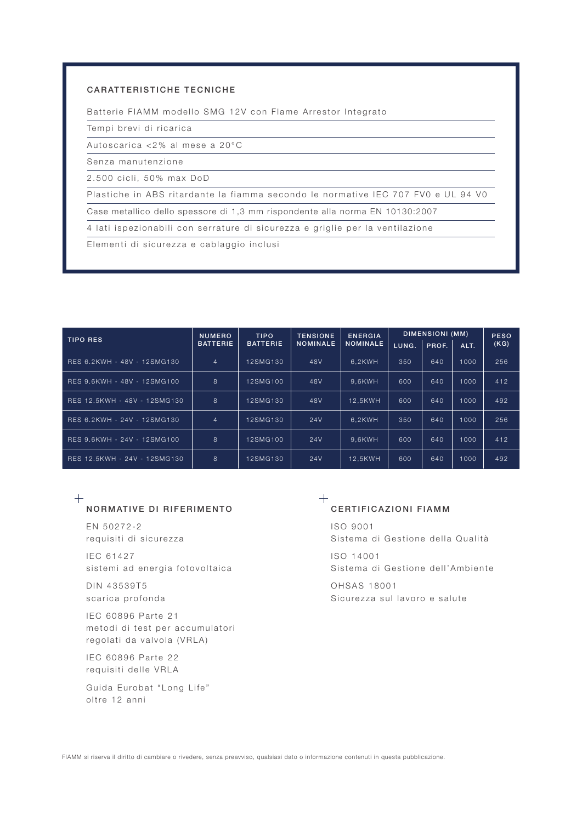## **CARATTERISTICHE TECNICHE**

Batterie FIAMM modello SMG 12V con Flame Arrestor Integrato

Tempi brevi di ricarica

Autoscarica <2% al mese a 20°C

Senza manutenzione

2.500 cicli, 50% max DoD

Plastiche in ABS ritardante la fiamma secondo le normative IEC 707 FV0 e UL 94 V0

Case metallico dello spessore di 1,3 mm rispondente alla norma EN 10130:2007

4 lati ispezionabili con serrature di sicurezza e griglie per la ventilazione

Elementi di sicurezza e cablaggio inclusi

| <b>TIPO RES</b>              | <b>NUMERO</b><br><b>BATTERIE</b> | <b>TIPO</b><br><b>BATTERIE</b> | <b>TENSIONE</b><br><b>NOMINALE</b> | <b>ENERGIA</b><br><b>NOMINALE</b> | DIMENSIONI (MM) |       |      | <b>PESO</b> |
|------------------------------|----------------------------------|--------------------------------|------------------------------------|-----------------------------------|-----------------|-------|------|-------------|
|                              |                                  |                                |                                    |                                   | LUNG.           | PROF. | ALT. | (KG)        |
| RFS 6.2KWH - 48V - 12SMG130  | $\overline{4}$                   | 12SMG130                       | 48V                                | 6.2KWH                            | 350             | 640   | 1000 | 256         |
| RES 9.6KWH - 48V - 12SMG100  | 8                                | 12SMG100                       | 48V                                | 9.6KWH                            | 600             | 640   | 1000 | 412         |
| RES 12.5KWH - 48V - 12SMG130 | 8                                | 12SMG130                       | 48V                                | 12.5KWH                           | 600             | 640   | 1000 | 492         |
| RES 6.2KWH - 24V - 12SMG130  | $\overline{4}$                   | 12SMG130                       | 24V                                | 6.2KWH                            | 350             | 640   | 1000 | 256         |
| RES 9.6KWH - 24V - 12SMG100  | 8                                | 12SMG100                       | 24V                                | 9.6KWH                            | 600             | 640   | 1000 | 412         |
| RFS 12.5KWH - 24V - 12SMG130 | 8                                | 12SMG130                       | 24V                                | 12.5KWH                           | 600             | 640   | 1000 | 492         |

## $+$ **NORMATIVE DI RIFERIMENTO**

EN 50272-2 requisiti di sicurezza

IEC 61427 sistemi ad energia fotovoltaica

DIN 43539T5 scarica profonda

IEC 60896 Parte 21 metodi di test per accumulatori regolati da valvola (VRLA)

IEC 60896 Parte 22 requisiti delle VRLA

Guida Eurobat "Long Life" oltre 12 anni

## $\hspace{0.1mm} +$ **CERTIFICAZIONI FIAMM**

ISO 9001 Sistema di Gestione della Qualità ISO 14001

Sistema di Gestione dell'Ambiente

OHSAS 18001 Sicurezza sul lavoro e salute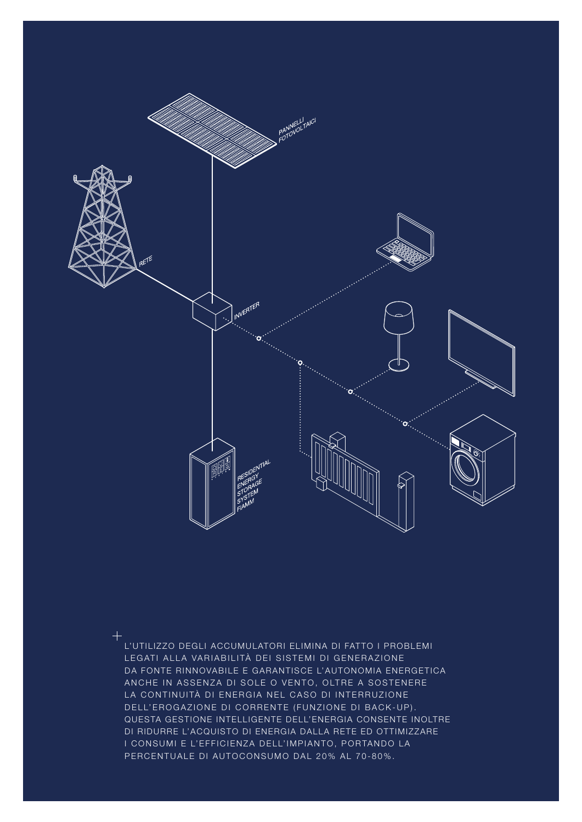

L'UTILIZZO DEGLI ACCUMULATORI ELIMINA DI FATTO I PROBLEMI LEGATI ALLA VARIABILITÀ DEI SISTEMI DI GENERAZIONE DA FONTE RINNOVABILE E GARANTISCE L'AUTONOMIA ENERGETICA ANCHE IN ASSENZA DI SOLE O VENTO, OLTRE A SOSTENERE LA CONTINUITÀ DI ENERGIA NEL CASO DI INTERRUZIONE DELL'EROGAZIONE DI CORRENTE (FUNZIONE DI BACK-UP). QUESTA GESTIONE INTELLIGENTE DELL'ENERGIA CONSENTE INOLTRE DI RIDURRE L'ACQUISTO DI ENERGIA DALLA RETE ED OTTIMIZZARE I CONSUMI E L'EFFICIENZA DELL'IMPIANTO, PORTANDO LA PERCENTUALE DI AUTOCONSUMO DAL 20% AL 70-80%.

 $\overline{\phantom{0}}$